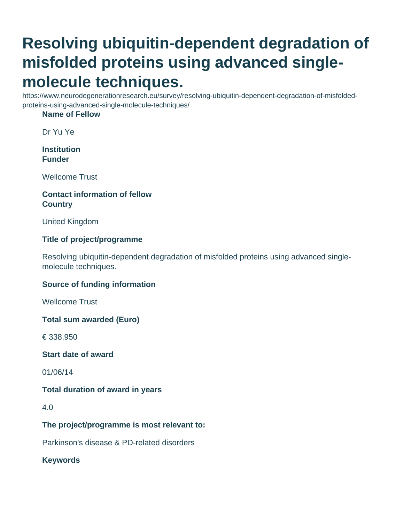# **Resolving ubiquitin-dependent degradation of misfolded proteins using advanced singlemolecule techniques.**

https://www.neurodegenerationresearch.eu/survey/resolving-ubiquitin-dependent-degradation-of-misfoldedproteins-using-advanced-single-molecule-techniques/

#### **Name of Fellow**

Dr Yu Ye

**Institution Funder**

Wellcome Trust

## **Contact information of fellow Country**

United Kingdom

## **Title of project/programme**

Resolving ubiquitin-dependent degradation of misfolded proteins using advanced singlemolecule techniques.

## **Source of funding information**

Wellcome Trust

**Total sum awarded (Euro)**

€ 338,950

**Start date of award**

01/06/14

## **Total duration of award in years**

4.0

## **The project/programme is most relevant to:**

Parkinson's disease & PD-related disorders

**Keywords**